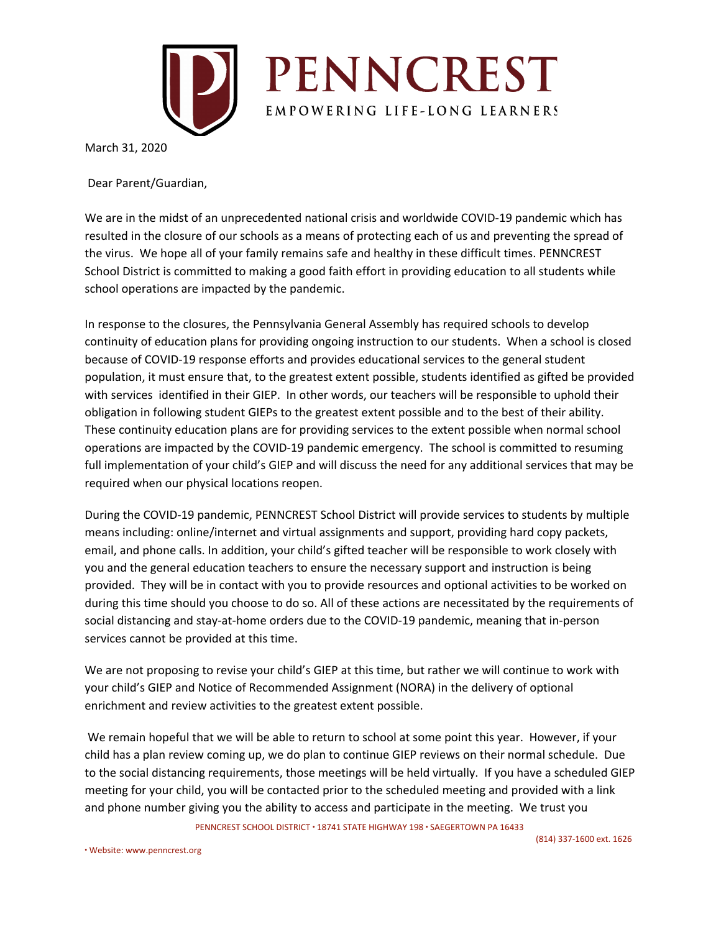

March 31, 2020

Dear Parent/Guardian,

We are in the midst of an unprecedented national crisis and worldwide COVID-19 pandemic which has resulted in the closure of our schools as a means of protecting each of us and preventing the spread of the virus. We hope all of your family remains safe and healthy in these difficult times. PENNCREST School District is committed to making a good faith effort in providing education to all students while school operations are impacted by the pandemic.

In response to the closures, the Pennsylvania General Assembly has required schools to develop continuity of education plans for providing ongoing instruction to our students. When a school is closed because of COVID-19 response efforts and provides educational services to the general student population, it must ensure that, to the greatest extent possible, students identified as gifted be provided with services identified in their GIEP. In other words, our teachers will be responsible to uphold their obligation in following student GIEPs to the greatest extent possible and to the best of their ability. These continuity education plans are for providing services to the extent possible when normal school operations are impacted by the COVID-19 pandemic emergency. The school is committed to resuming full implementation of your child's GIEP and will discuss the need for any additional services that may be required when our physical locations reopen.

During the COVID-19 pandemic, PENNCREST School District will provide services to students by multiple means including: online/internet and virtual assignments and support, providing hard copy packets, email, and phone calls. In addition, your child's gifted teacher will be responsible to work closely with you and the general education teachers to ensure the necessary support and instruction is being provided. They will be in contact with you to provide resources and optional activities to be worked on during this time should you choose to do so. All of these actions are necessitated by the requirements of social distancing and stay-at-home orders due to the COVID-19 pandemic, meaning that in-person services cannot be provided at this time.

We are not proposing to revise your child's GIEP at this time, but rather we will continue to work with your child's GIEP and Notice of Recommended Assignment (NORA) in the delivery of optional enrichment and review activities to the greatest extent possible.

We remain hopeful that we will be able to return to school at some point this year. However, if your child has a plan review coming up, we do plan to continue GIEP reviews on their normal schedule. Due to the social distancing requirements, those meetings will be held virtually. If you have a scheduled GIEP meeting for your child, you will be contacted prior to the scheduled meeting and provided with a link and phone number giving you the ability to access and participate in the meeting. We trust you

PENNCREST SCHOOL DISTRICT ∙ 18741 STATE HIGHWAY 198 ∙ SAEGERTOWN PA 16433